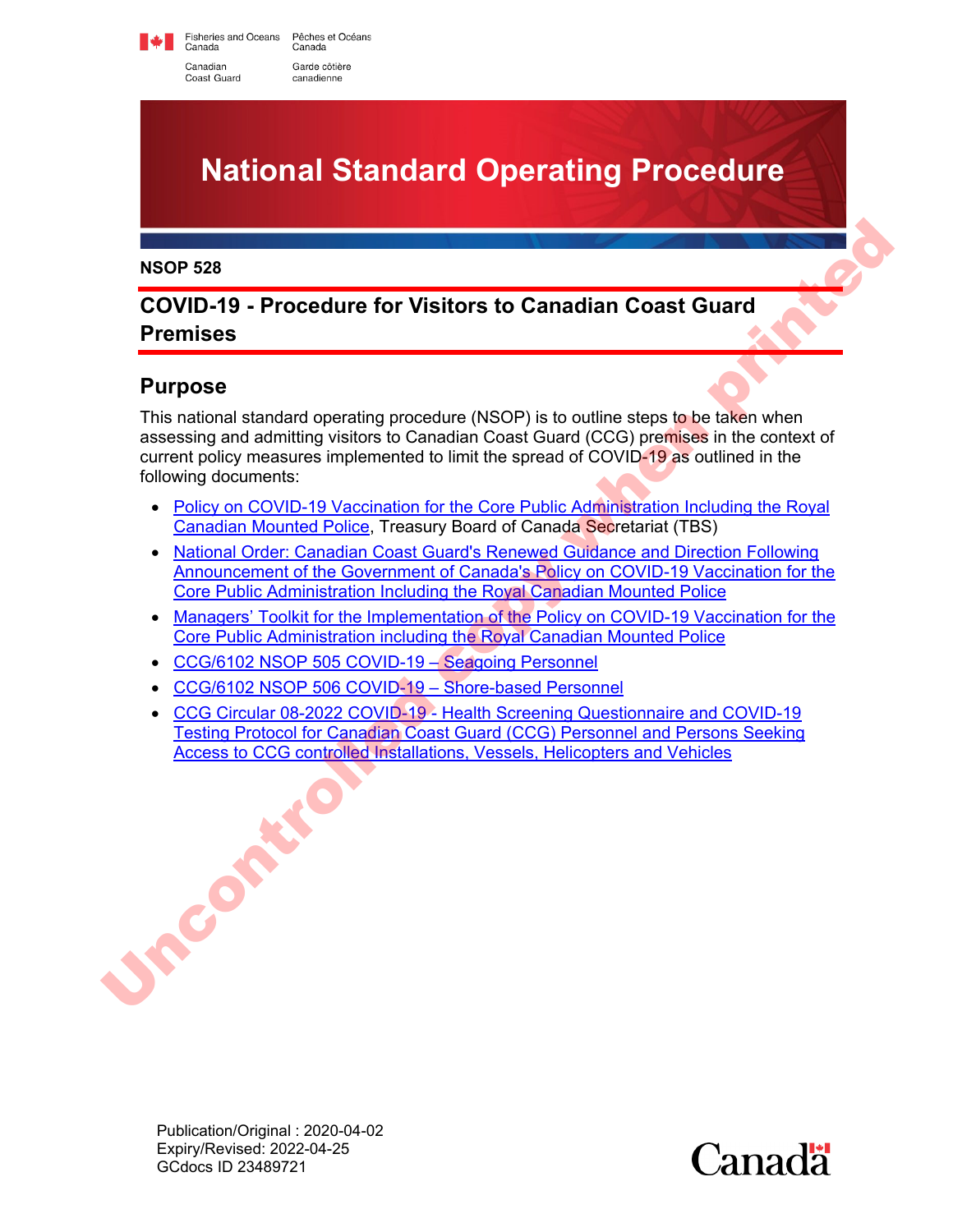Fisheries and Oceans Pêches et Océans Canada Canada Canadian Garde côtière Coast Guard canadienne



#### **NSOP 528**

### **COVID-19 - Procedure for Visitors to Canadian Coast Guard Premises**

### **Purpose**

This national standard operating procedure (NSOP) is to outline steps to be taken when assessing and admitting visitors to Canadian Coast Guard (CCG) premises in the context of current policy measures implemented to limit the spread of COVID-19 as outlined in the following documents: **EXECUATE:**<br> **EXECUATE:**<br> **EXECUATE:**<br> **EXECUATE:**<br> **EXECUATE:**<br> **EXECUATE:**<br> **EXECUATE:**<br> **EXECUATE:**<br> **EXECUATE:**<br> **EXECUATE:**<br> **EXECUATE:**<br> **EXECUATE:**<br> **EXECUATE:**<br> **EXECUATE:**<br> **EXECUATE:**<br> **EXECUATE:**<br> **EXECUATE:**<br>

- Policy on COVID-19 Vaccination for the Core Public Administration Including the Royal Canadian Mounted Police, Treasury Board of Canada Secretariat (TBS)
- National Order: Canadian Coast Guard's Renewed Guidance and Direction Following Announcement of the Government of Canada's Policy on COVID-19 Vaccination for the Core Public Administration Including the Royal Canadian Mounted Police
- Managers' Toolkit for the Implementation of the Policy on COVID-19 Vaccination for the Core Public Administration including the Royal Canadian Mounted Police
- CCG/6102 NSOP 505 COVID-19 Seagoing Personnel
- CCG/6102 NSOP 506 COVID-19 Shore-based Personnel
- CCG Circular 08-2022 COVID-19 Health Screening Questionnaire and COVID-19 Testing Protocol for Canadian Coast Guard (CCG) Personnel and Persons Seeking Access to CCG controlled Installations, Vessels, Helicopters and Vehicles

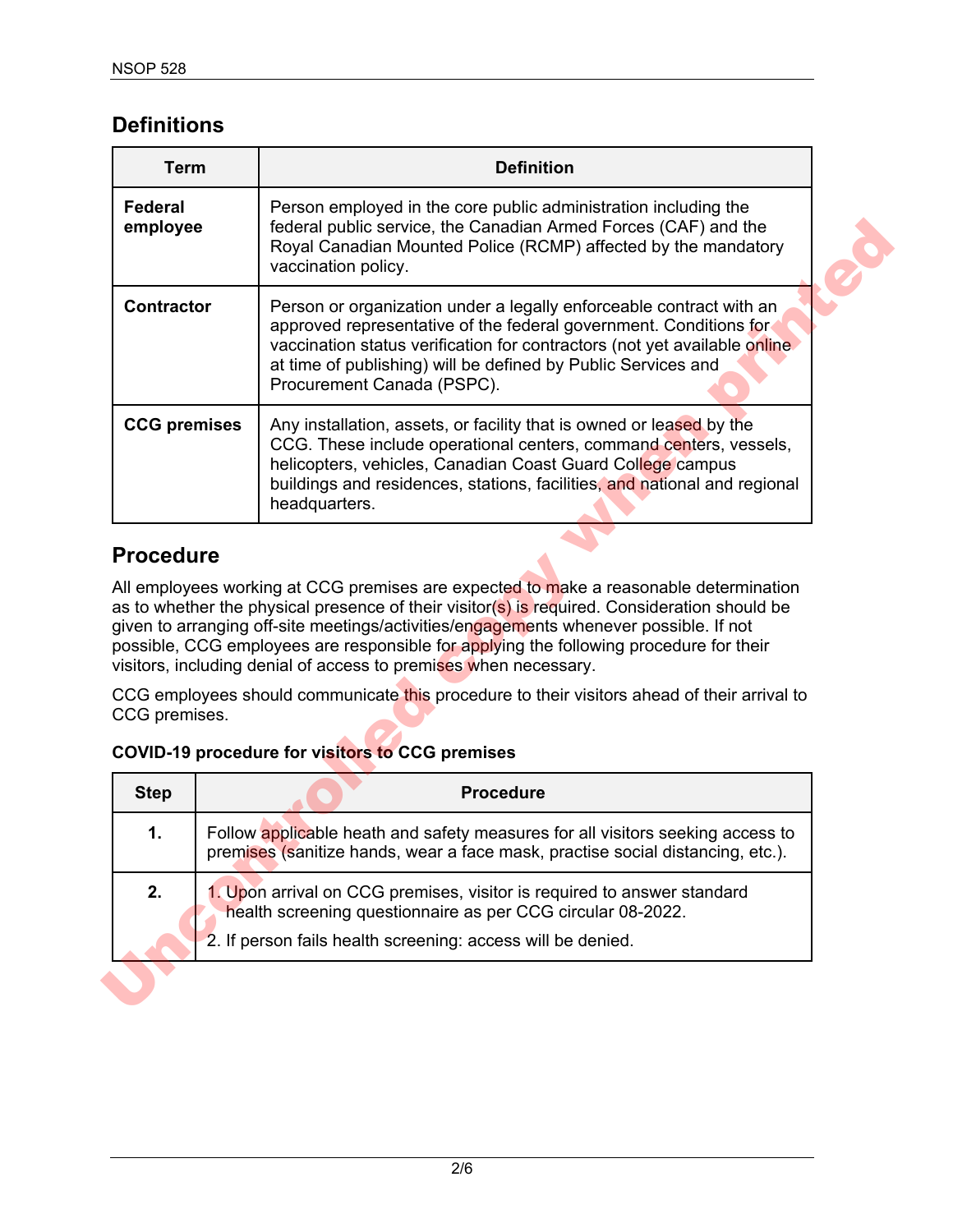### **Definitions**

| <b>Term</b>                       | <b>Definition</b>                                                                                                                                                                                                                                                                                                                                                                                                                                                                                                                                                                                     |
|-----------------------------------|-------------------------------------------------------------------------------------------------------------------------------------------------------------------------------------------------------------------------------------------------------------------------------------------------------------------------------------------------------------------------------------------------------------------------------------------------------------------------------------------------------------------------------------------------------------------------------------------------------|
| <b>Federal</b><br>employee        | Person employed in the core public administration including the<br>federal public service, the Canadian Armed Forces (CAF) and the<br>Royal Canadian Mounted Police (RCMP) affected by the mandatory<br>vaccination policy.                                                                                                                                                                                                                                                                                                                                                                           |
| <b>Contractor</b>                 | Person or organization under a legally enforceable contract with an<br>approved representative of the federal government. Conditions for<br>vaccination status verification for contractors (not yet available online<br>at time of publishing) will be defined by Public Services and<br>Procurement Canada (PSPC).                                                                                                                                                                                                                                                                                  |
| <b>CCG</b> premises               | Any installation, assets, or facility that is owned or leased by the<br>CCG. These include operational centers, command centers, vessels,<br>helicopters, vehicles, Canadian Coast Guard College campus<br>buildings and residences, stations, facilities, and national and regional<br>headquarters.                                                                                                                                                                                                                                                                                                 |
| <b>Procedure</b><br>CCG premises. | All employees working at CCG premises are expected to make a reasonable determination<br>as to whether the physical presence of their visitor(s) is required. Consideration should be<br>given to arranging off-site meetings/activities/engagements whenever possible. If not<br>possible, CCG employees are responsible for applying the following procedure for their<br>visitors, including denial of access to premises when necessary.<br>CCG employees should communicate this procedure to their visitors ahead of their arrival to<br><b>COVID-19 procedure for visitors to CCG premises</b> |
|                                   |                                                                                                                                                                                                                                                                                                                                                                                                                                                                                                                                                                                                       |
| <b>Step</b>                       | <b>Procedure</b>                                                                                                                                                                                                                                                                                                                                                                                                                                                                                                                                                                                      |
| 1.                                | Follow applicable heath and safety measures for all visitors seeking access to<br>premises (sanitize hands, wear a face mask, practise social distancing, etc.).                                                                                                                                                                                                                                                                                                                                                                                                                                      |
| 2.                                | 1. Upon arrival on CCG premises, visitor is required to answer standard<br>health screening questionnaire as per CCG circular 08-2022.                                                                                                                                                                                                                                                                                                                                                                                                                                                                |

### **Procedure**

### **COVID-19 procedure for visitors to CCG premises**

| <b>Step</b> | <b>Procedure</b>                                                                                                                                                 |  |
|-------------|------------------------------------------------------------------------------------------------------------------------------------------------------------------|--|
| 1.          | Follow applicable heath and safety measures for all visitors seeking access to<br>premises (sanitize hands, wear a face mask, practise social distancing, etc.). |  |
| 2.          | 1. Upon arrival on CCG premises, visitor is required to answer standard<br>health screening questionnaire as per CCG circular 08-2022.                           |  |
|             | 2. If person fails health screening: access will be denied.                                                                                                      |  |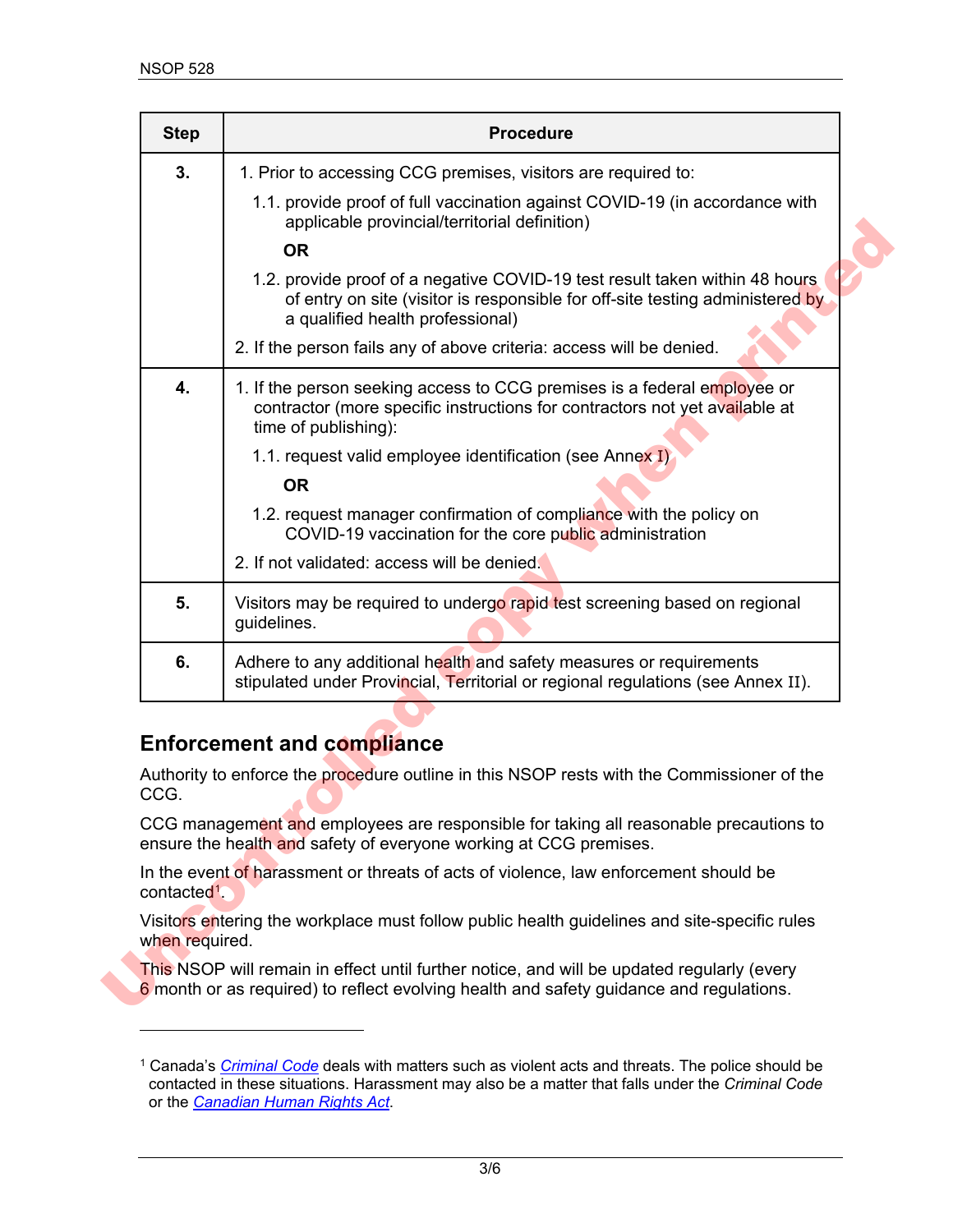| <b>Step</b>              | <b>Procedure</b>                                                                                                                                                                                 |
|--------------------------|--------------------------------------------------------------------------------------------------------------------------------------------------------------------------------------------------|
| 3.                       | 1. Prior to accessing CCG premises, visitors are required to:                                                                                                                                    |
|                          | 1.1. provide proof of full vaccination against COVID-19 (in accordance with<br>applicable provincial/territorial definition)                                                                     |
|                          | <b>OR</b>                                                                                                                                                                                        |
|                          | 1.2. provide proof of a negative COVID-19 test result taken within 48 hours<br>of entry on site (visitor is responsible for off-site testing administered by<br>a qualified health professional) |
|                          | 2. If the person fails any of above criteria: access will be denied.                                                                                                                             |
| 4.                       | 1. If the person seeking access to CCG premises is a federal employee or<br>contractor (more specific instructions for contractors not yet available at<br>time of publishing):                  |
|                          | 1.1. request valid employee identification (see Annex I)                                                                                                                                         |
|                          | <b>OR</b>                                                                                                                                                                                        |
|                          | 1.2. request manager confirmation of compliance with the policy on<br>COVID-19 vaccination for the core public administration                                                                    |
|                          | 2. If not validated: access will be denied.                                                                                                                                                      |
| 5.                       | Visitors may be required to undergo rapid test screening based on regional<br>guidelines.                                                                                                        |
| 6.                       | Adhere to any additional health and safety measures or requirements<br>stipulated under Provincial, Territorial or regional regulations (see Annex II).                                          |
|                          | <b>Enforcement and compliance</b>                                                                                                                                                                |
| CCG.                     | Authority to enforce the procedure outline in this NSOP rests with the Commissioner of the                                                                                                       |
|                          | CCG management and employees are responsible for taking all reasonable precautions to<br>ensure the health and safety of everyone working at CCG premises.                                       |
| contacted <sup>1</sup> . | In the event of harassment or threats of acts of violence, law enforcement should be                                                                                                             |
|                          | Visitors entering the workplace must follow public health guidelines and site-specific rules                                                                                                     |
| when required.           |                                                                                                                                                                                                  |

### **Enforcement and compliance**

<span id="page-2-0"></span><sup>1</sup> Canada's *[Criminal Code](https://laws-lois.justice.gc.ca/eng/acts/c-46/)* deals with matters such as violent acts and threats. The police should be contacted in these situations. Harassment may also be a matter that falls under the *Criminal Code* or the *[Canadian Human Rights Act](https://laws-lois.justice.gc.ca/eng/acts/h-6/)*.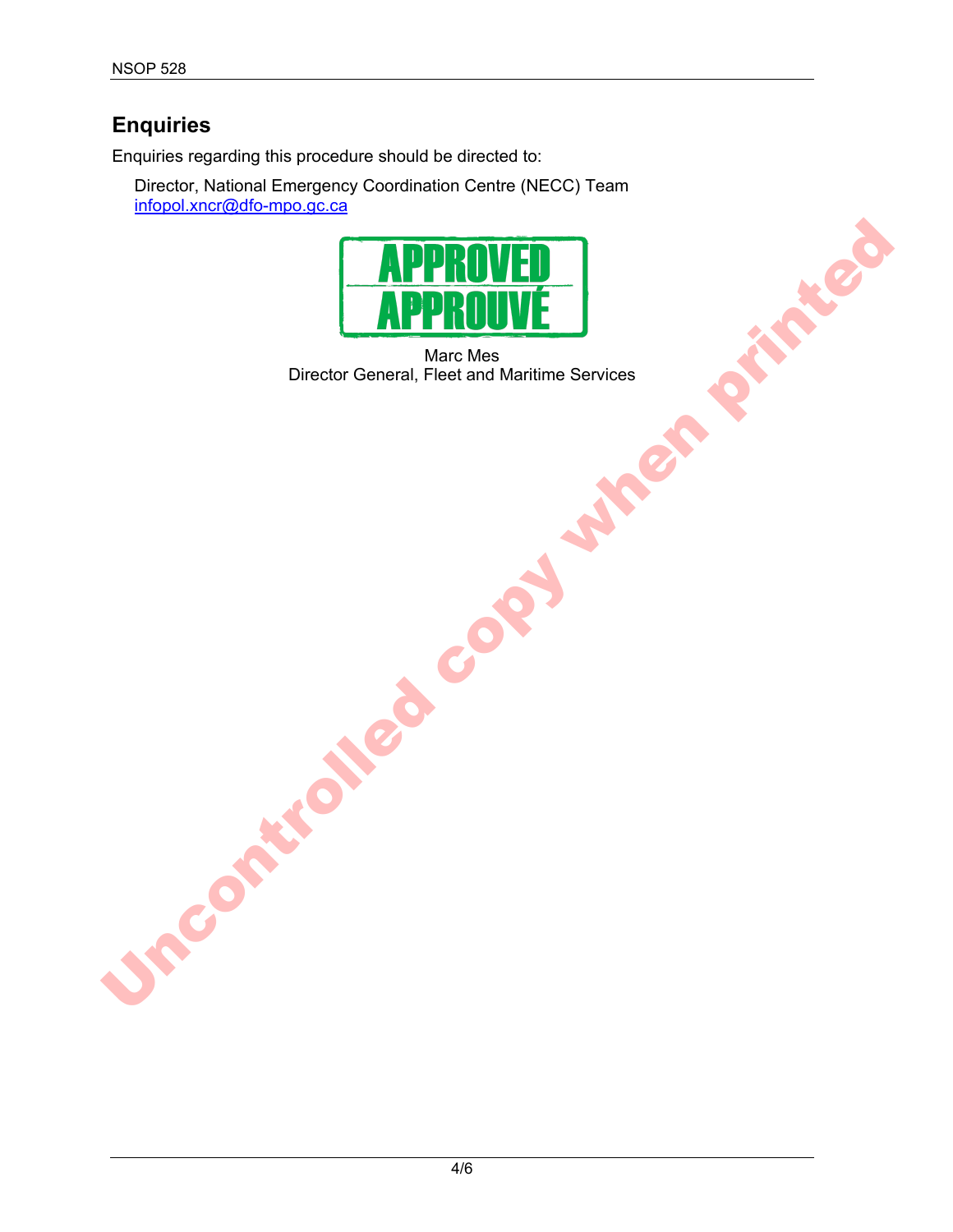# **Enquiries**

Enquiries regarding this procedure should be directed to:

Director, National Emergency Coordination Centre (NECC) Team [infopol.xncr@dfo-mpo.gc.ca](mailto:infopol.xncr@dfo-mpo.gc.ca)



Marc Mes Director General, Fleet and Maritime Services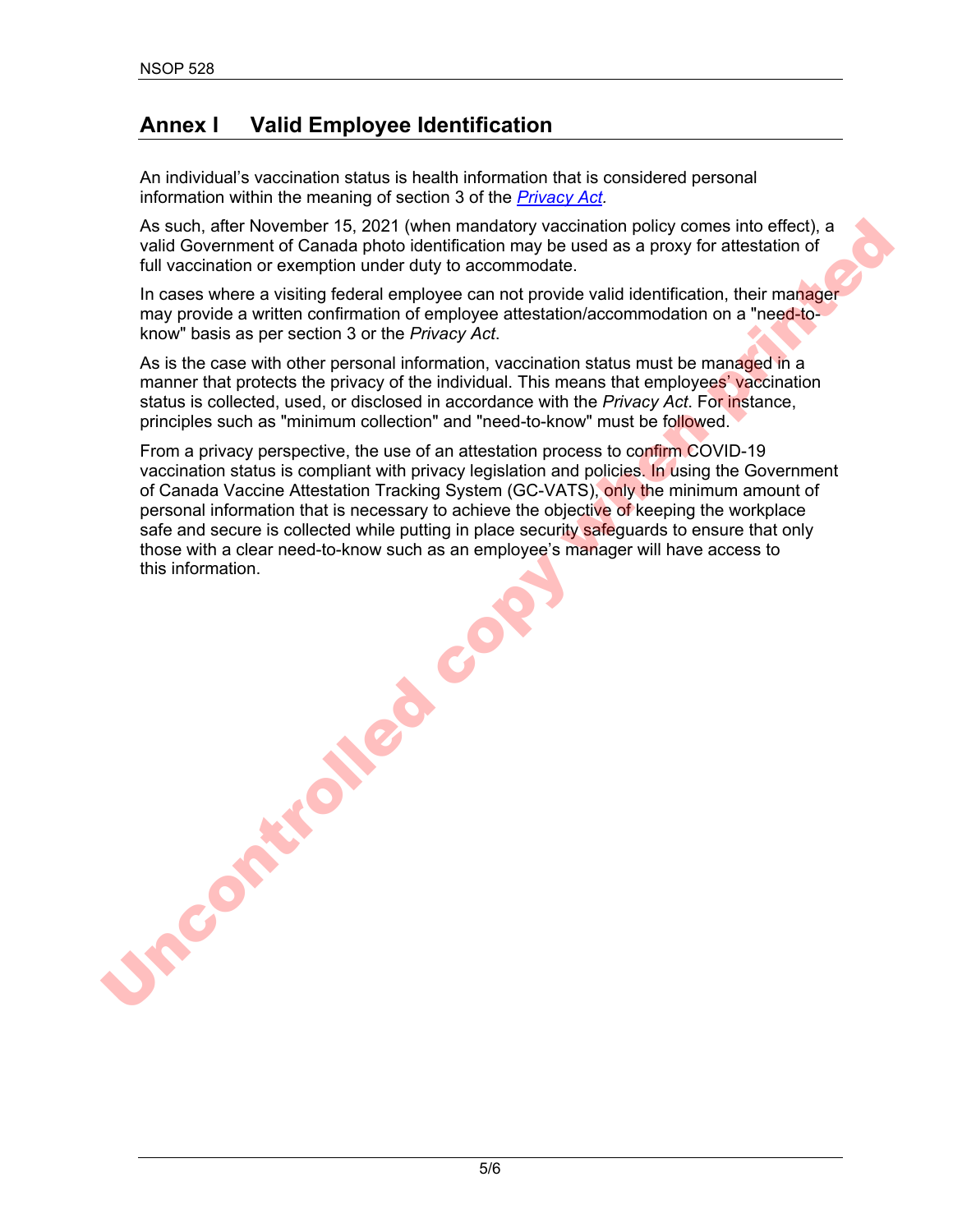# **Annex I Valid Employee Identification**

An individual's vaccination status is health information that is considered personal information within the meaning of section 3 of the *[Privacy Act.](https://laws-lois.justice.gc.ca/ENG/ACTS/P-21/index.html)*

As such, after November 15, 2021 (when mandatory vaccination policy comes into effect), a valid Government of Canada photo identification may be used as a proxy for attestation of full vaccination or exemption under duty to accommodate.

In cases where a visiting federal employee can not provide valid identification, their manager may provide a written confirmation of employee attestation/accommodation on a "need-toknow" basis as per section 3 or the *Privacy Act*.

As is the case with other personal information, vaccination status must be managed in a manner that protects the privacy of the individual. This means that employees' vaccination status is collected, used, or disclosed in accordance with the *Privacy Act*. For instance, principles such as "minimum collection" and "need-to-know" must be followed.

From a privacy perspective, the use of an attestation process to confirm COVID-19 vaccination status is compliant with privacy legislation and policies. In using the Government of Canada Vaccine Attestation Tracking System (GC-VATS), only the minimum amount of personal information that is necessary to achieve the objective of keeping the workplace safe and secure is collected while putting in place security safeguards to ensure that only those with a clear need-to-know such as an employee's manager will have access to this information. As such, after November 153. 2021 (when mandatory vocintation policy comes into effect), a<br>sluid Government of Carada photo lendification may be used as a proxy for attestation of<br>full vocintation or exemption under duly